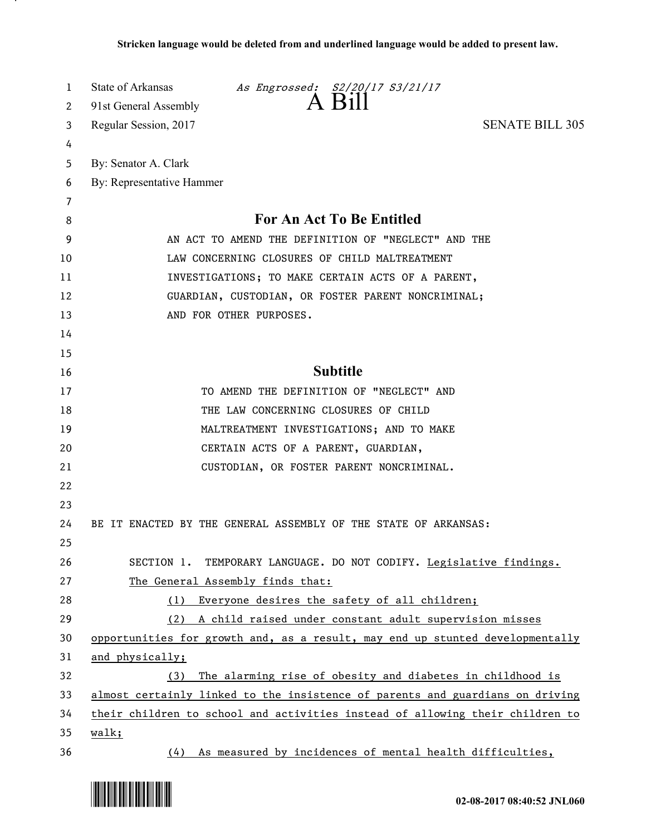| 1<br>2 | State of Arkansas<br>As Engrossed: S2/20/17 S3/21/17<br>91st General Assembly |
|--------|-------------------------------------------------------------------------------|
| 3      | <b>SENATE BILL 305</b><br>Regular Session, 2017                               |
| 4      |                                                                               |
| 5      | By: Senator A. Clark                                                          |
| 6      | By: Representative Hammer                                                     |
| 7      |                                                                               |
| 8      | For An Act To Be Entitled                                                     |
| 9      | AN ACT TO AMEND THE DEFINITION OF "NEGLECT" AND THE                           |
| 10     | LAW CONCERNING CLOSURES OF CHILD MALTREATMENT                                 |
| 11     | INVESTIGATIONS; TO MAKE CERTAIN ACTS OF A PARENT,                             |
| 12     | GUARDIAN, CUSTODIAN, OR FOSTER PARENT NONCRIMINAL;                            |
| 13     | AND FOR OTHER PURPOSES.                                                       |
| 14     |                                                                               |
| 15     |                                                                               |
| 16     | <b>Subtitle</b>                                                               |
| 17     | TO AMEND THE DEFINITION OF "NEGLECT" AND                                      |
| 18     | THE LAW CONCERNING CLOSURES OF CHILD                                          |
| 19     | MALTREATMENT INVESTIGATIONS; AND TO MAKE                                      |
| 20     | CERTAIN ACTS OF A PARENT, GUARDIAN,                                           |
| 21     | CUSTODIAN, OR FOSTER PARENT NONCRIMINAL.                                      |
| 22     |                                                                               |
| 23     |                                                                               |
| 24     | BE IT ENACTED BY THE GENERAL ASSEMBLY OF THE STATE OF ARKANSAS:               |
| 25     |                                                                               |
| 26     | SECTION 1. TEMPORARY LANGUAGE. DO NOT CODIFY. Legislative findings.           |
| 27     | The General Assembly finds that:                                              |
| 28     | Everyone desires the safety of all children;<br>(1)                           |
| 29     | (2) A child raised under constant adult supervision misses                    |
| 30     | opportunities for growth and, as a result, may end up stunted developmentally |
| 31     | and physically;                                                               |
| 32     | The alarming rise of obesity and diabetes in childhood is<br>(3)              |
| 33     | almost certainly linked to the insistence of parents and guardians on driving |
| 34     | their children to school and activities instead of allowing their children to |
| 35     | walk;                                                                         |
| 36     | As measured by incidences of mental health difficulties,<br>(4)               |



.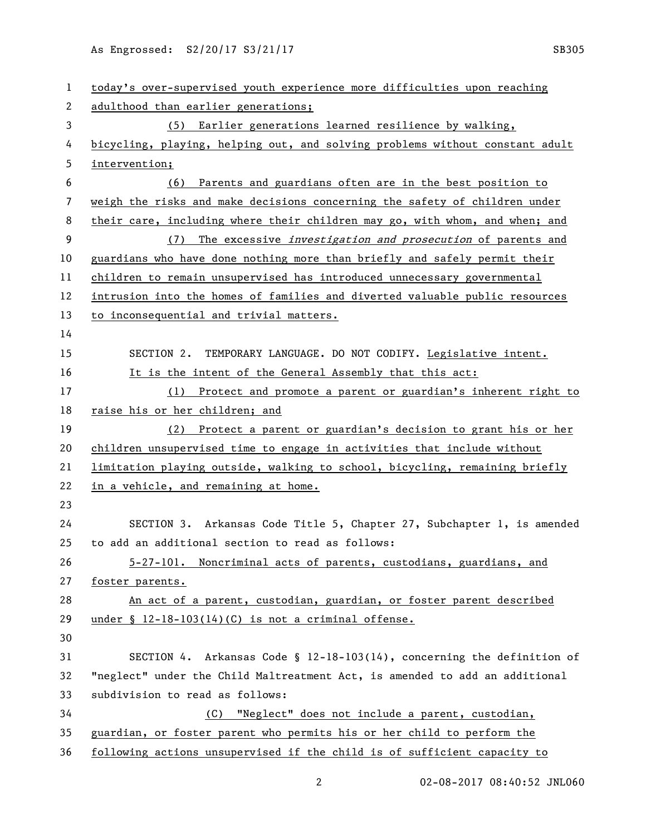As Engrossed: S2/20/17 S3/21/17 Sextember 2014 SB305

| $\mathbf{1}$ | today's over-supervised youth experience more difficulties upon reaching     |
|--------------|------------------------------------------------------------------------------|
| 2            | adulthood than earlier generations;                                          |
| 3            | (5) Earlier generations learned resilience by walking,                       |
| 4            | bicycling, playing, helping out, and solving problems without constant adult |
| 5            | intervention;                                                                |
| 6            | Parents and guardians often are in the best position to<br>(6)               |
| 7            | weigh the risks and make decisions concerning the safety of children under   |
| 8            | their care, including where their children may go, with whom, and when; and  |
| 9            | The excessive <i>investigation and prosecution</i> of parents and<br>(7)     |
| 10           | guardians who have done nothing more than briefly and safely permit their    |
| 11           | children to remain unsupervised has introduced unnecessary governmental      |
| 12           | intrusion into the homes of families and diverted valuable public resources  |
| 13           | to inconsequential and trivial matters.                                      |
| 14           |                                                                              |
| 15           | SECTION 2. TEMPORARY LANGUAGE. DO NOT CODIFY. Legislative intent.            |
| 16           | It is the intent of the General Assembly that this act:                      |
| 17           | (1) Protect and promote a parent or guardian's inherent right to             |
| 18           | raise his or her children; and                                               |
| 19           | (2) Protect a parent or guardian's decision to grant his or her              |
| 20           | children unsupervised time to engage in activities that include without      |
| 21           | limitation playing outside, walking to school, bicycling, remaining briefly  |
| 22           | in a vehicle, and remaining at home.                                         |
| 23           |                                                                              |
| 24           | SECTION 3. Arkansas Code Title 5, Chapter 27, Subchapter 1, is amended       |
| 25           | to add an additional section to read as follows:                             |
| 26           | 5-27-101. Noncriminal acts of parents, custodians, guardians, and            |
| 27           | foster parents.                                                              |
| 28           | An act of a parent, custodian, guardian, or foster parent described          |
| 29           | under § 12-18-103(14)(C) is not a criminal offense.                          |
| 30           |                                                                              |
| 31           | SECTION 4. Arkansas Code § $12-18-103(14)$ , concerning the definition of    |
| 32           | "neglect" under the Child Maltreatment Act, is amended to add an additional  |
| 33           | subdivision to read as follows:                                              |
| 34           | "Neglect" does not include a parent, custodian,<br>(C)                       |
| 35           | guardian, or foster parent who permits his or her child to perform the       |
| 36           | following actions unsupervised if the child is of sufficient capacity to     |

2 02-08-2017 08:40:52 JNL060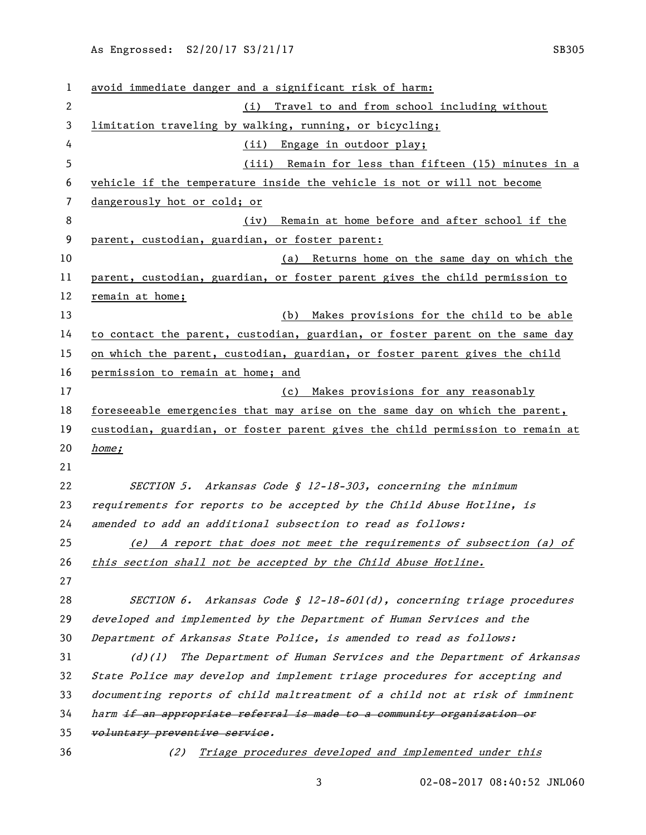| 1  | avoid immediate danger and a significant risk of harm:                        |
|----|-------------------------------------------------------------------------------|
| 2  | (i) Travel to and from school including without                               |
| 3  | limitation traveling by walking, running, or bicycling;                       |
| 4  | (ii) Engage in outdoor play;                                                  |
| 5  | (iii) Remain for less than fifteen (15) minutes in a                          |
| 6  | vehicle if the temperature inside the vehicle is not or will not become       |
| 7  | dangerously hot or cold; or                                                   |
| 8  | Remain at home before and after school if the<br>(iv)                         |
| 9  | parent, custodian, guardian, or foster parent:                                |
| 10 | (a) Returns home on the same day on which the                                 |
| 11 | parent, custodian, guardian, or foster parent gives the child permission to   |
| 12 | remain at home;                                                               |
| 13 | (b) Makes provisions for the child to be able                                 |
| 14 | to contact the parent, custodian, guardian, or foster parent on the same day  |
| 15 | on which the parent, custodian, guardian, or foster parent gives the child    |
| 16 | permission to remain at home; and                                             |
| 17 | (c) Makes provisions for any reasonably                                       |
| 18 | foreseeable emergencies that may arise on the same day on which the parent,   |
| 19 | custodian, guardian, or foster parent gives the child permission to remain at |
| 20 | home;                                                                         |
| 21 |                                                                               |
| 22 | SECTION 5. Arkansas Code § 12-18-303, concerning the minimum                  |
| 23 | requirements for reports to be accepted by the Child Abuse Hotline, is        |
| 24 | amended to add an additional subsection to read as follows:                   |
| 25 | (e) A report that does not meet the requirements of subsection (a) of         |
| 26 | this section shall not be accepted by the Child Abuse Hotline.                |
| 27 |                                                                               |
| 28 | SECTION 6. Arkansas Code § 12-18-601(d), concerning triage procedures         |
| 29 | developed and implemented by the Department of Human Services and the         |
| 30 | Department of Arkansas State Police, is amended to read as follows:           |
| 31 | The Department of Human Services and the Department of Arkansas<br>$(d)$ (1)  |
| 32 | State Police may develop and implement triage procedures for accepting and    |
| 33 | documenting reports of child maltreatment of a child not at risk of imminent  |
| 34 | harm if an appropriate referral is made to a community organization or        |
| 35 | voluntary preventive service.                                                 |
| 36 | Triage procedures developed and implemented under this<br>(2)                 |

3 02-08-2017 08:40:52 JNL060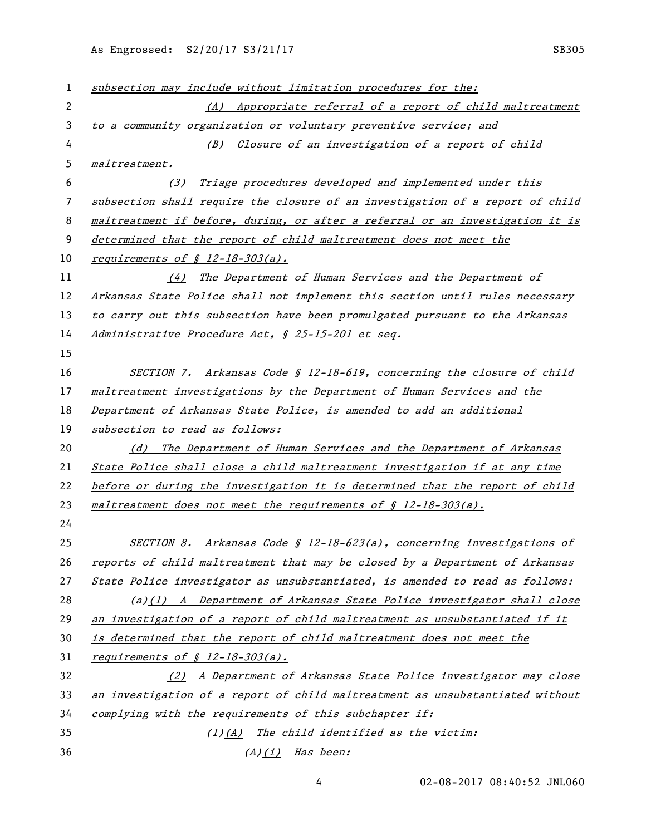As Engrossed: S2/20/17 S3/21/17 Sextember 2014 SB305

| 1            | subsection may include without limitation procedures for the:                 |
|--------------|-------------------------------------------------------------------------------|
| $\mathbf{2}$ | (A) Appropriate referral of a report of child maltreatment                    |
| 3            | to a community organization or voluntary preventive service; and              |
| 4            | (B) Closure of an investigation of a report of child                          |
| 5            | maltreatment.                                                                 |
| 6            | Triage procedures developed and implemented under this<br>(3)                 |
| 7            | subsection shall require the closure of an investigation of a report of child |
| 8            | maltreatment if before, during, or after a referral or an investigation it is |
| 9            | determined that the report of child maltreatment does not meet the            |
| 10           | requirements of $$12-18-303(a)$ .                                             |
| 11           | The Department of Human Services and the Department of<br>(4)                 |
| 12           | Arkansas State Police shall not implement this section until rules necessary  |
| 13           | to carry out this subsection have been promulgated pursuant to the Arkansas   |
| 14           | Administrative Procedure Act, § 25-15-201 et seq.                             |
| 15           |                                                                               |
| 16           | SECTION 7. Arkansas Code § 12-18-619, concerning the closure of child         |
| 17           | maltreatment investigations by the Department of Human Services and the       |
| 18           | Department of Arkansas State Police, is amended to add an additional          |
| 19           | subsection to read as follows:                                                |
| 20           | The Department of Human Services and the Department of Arkansas<br>(d)        |
| 21           | State Police shall close a child maltreatment investigation if at any time    |
| 22           | before or during the investigation it is determined that the report of child  |
| 23           | maltreatment does not meet the requirements of $\oint$ 12-18-303(a).          |
| 24           |                                                                               |
| 25           | Arkansas Code § 12-18-623(a), concerning investigations of<br>SECTION 8.      |
| 26           | reports of child maltreatment that may be closed by a Department of Arkansas  |
| 27           | State Police investigator as unsubstantiated, is amended to read as follows:  |
| 28           | $(a)(1)$ A Department of Arkansas State Police investigator shall close       |
| 29           | an investigation of a report of child maltreatment as unsubstantiated if it   |
| 30           | is determined that the report of child maltreatment does not meet the         |
| 31           | requirements of $$ 12-18-303(a)$ .                                            |
| 32           | (2) A Department of Arkansas State Police investigator may close              |
| 33           | an investigation of a report of child maltreatment as unsubstantiated without |
| 34           | complying with the requirements of this subchapter if:                        |
| 35           | $\frac{(1)}{(A)}$ The child identified as the victim:                         |
| 36           | (A)(i) Has been:                                                              |

02-08-2017 08:40:52 JNL060